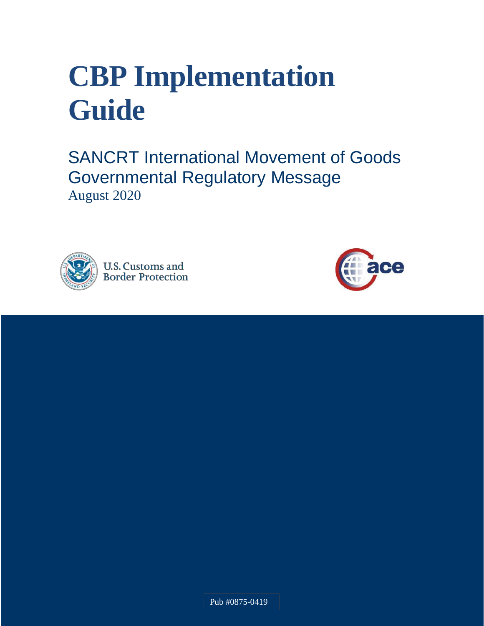# **CBP Implementation Guide**

SANCRT International Movement of Goods Governmental Regulatory Message August 2020





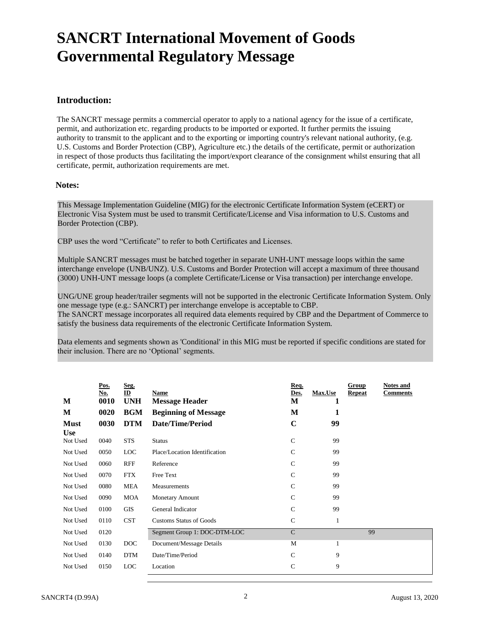## **SANCRT International Movement of Goods Governmental Regulatory Message**

#### **Introduction:**

The SANCRT message permits a commercial operator to apply to a national agency for the issue of a certificate, permit, and authorization etc. regarding products to be imported or exported. It further permits the issuing authority to transmit to the applicant and to the exporting or importing country's relevant national authority, (e.g. U.S. Customs and Border Protection (CBP), Agriculture etc.) the details of the certificate, permit or authorization in respect of those products thus facilitating the import/export clearance of the consignment whilst ensuring that all certificate, permit, authorization requirements are met.

#### **Notes:**

This Message Implementation Guideline (MIG) for the electronic Certificate Information System (eCERT) or Electronic Visa System must be used to transmit Certificate/License and Visa information to U.S. Customs and Border Protection (CBP).

CBP uses the word "Certificate" to refer to both Certificates and Licenses.

Multiple SANCRT messages must be batched together in separate UNH-UNT message loops within the same interchange envelope (UNB/UNZ). U.S. Customs and Border Protection will accept a maximum of three thousand (3000) UNH-UNT message loops (a complete Certificate/License or Visa transaction) per interchange envelope.

UNG/UNE group header/trailer segments will not be supported in the electronic Certificate Information System. Only one message type (e.g.: SANCRT) per interchange envelope is acceptable to CBP. The SANCRT message incorporates all required data elements required by CBP and the Department of Commerce to satisfy the business data requirements of the electronic Certificate Information System.

Data elements and segments shown as 'Conditional' in this MIG must be reported if specific conditions are stated for their inclusion. There are no 'Optional' segments.

| M                         | Pos.<br>No.<br>0010 | Seg.<br>ID<br><b>UNH</b> | Name<br><b>Message Header</b>  | Req.<br>Des.<br>M | <b>Max.Use</b><br>1 | Group<br><b>Repeat</b> | <b>Notes and</b><br><b>Comments</b> |
|---------------------------|---------------------|--------------------------|--------------------------------|-------------------|---------------------|------------------------|-------------------------------------|
| M                         | 0020                | <b>BGM</b>               | <b>Beginning of Message</b>    | M                 | 1                   |                        |                                     |
| <b>Must</b><br><b>Use</b> | 0030                | <b>DTM</b>               | <b>Date/Time/Period</b>        | $\mathbf C$       | 99                  |                        |                                     |
| Not Used                  | 0040                | <b>STS</b>               | <b>Status</b>                  | $\mathcal{C}$     | 99                  |                        |                                     |
| Not Used                  | 0050                | <b>LOC</b>               | Place/Location Identification  | $\mathsf{C}$      | 99                  |                        |                                     |
| Not Used                  | 0060                | <b>RFF</b>               | Reference                      | $\mathcal{C}$     | 99                  |                        |                                     |
| Not Used                  | 0070                | <b>FTX</b>               | Free Text                      | $\mathcal{C}$     | 99                  |                        |                                     |
| Not Used                  | 0080                | MEA                      | Measurements                   | $\mathcal{C}$     | 99                  |                        |                                     |
| Not Used                  | 0090                | MOA                      | <b>Monetary Amount</b>         | C                 | 99                  |                        |                                     |
| Not Used                  | 0100                | GIS                      | General Indicator              | $\mathcal{C}$     | 99                  |                        |                                     |
| Not Used                  | 0110                | <b>CST</b>               | <b>Customs Status of Goods</b> | $\mathbf C$       | 1                   |                        |                                     |
| Not Used                  | 0120                |                          | Segment Group 1: DOC-DTM-LOC   | $\mathcal{C}$     |                     | 99                     |                                     |
| Not Used                  | 0130                | DOC                      | Document/Message Details       | M                 | $\mathbf{1}$        |                        |                                     |
| Not Used                  | 0140                | <b>DTM</b>               | Date/Time/Period               | $\mathcal{C}$     | 9                   |                        |                                     |
| Not Used                  | 0150                | LOC                      | Location                       | $\mathsf{C}$      | 9                   |                        |                                     |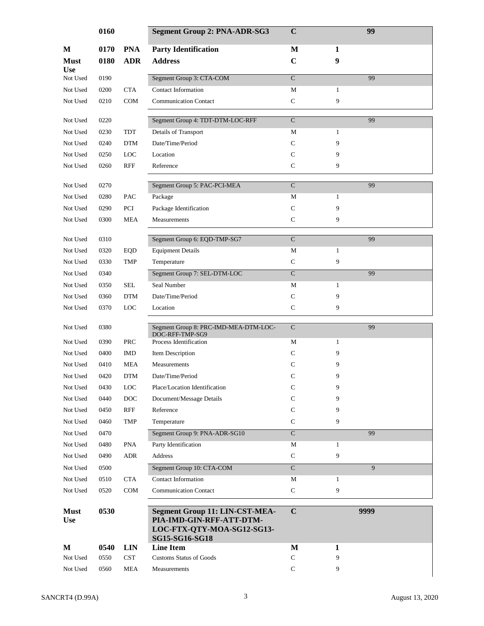|                           | 0160         |            | <b>Segment Group 2: PNA-ADR-SG3</b>                                                                               | $\mathbf C$        |              | 99   |
|---------------------------|--------------|------------|-------------------------------------------------------------------------------------------------------------------|--------------------|--------------|------|
| M                         | 0170         | <b>PNA</b> | <b>Party Identification</b>                                                                                       | M                  | 1            |      |
| <b>Must</b>               | 0180         | <b>ADR</b> | <b>Address</b>                                                                                                    | $\mathbf C$        | 9            |      |
| <b>Use</b>                |              |            |                                                                                                                   |                    |              |      |
| Not Used                  | 0190         |            | Segment Group 3: CTA-COM                                                                                          | $\mathbf C$        |              | 99   |
| Not Used                  | 0200         | <b>CTA</b> | <b>Contact Information</b>                                                                                        | M                  | 1            |      |
| Not Used                  | 0210         | <b>COM</b> | <b>Communication Contact</b>                                                                                      | $\mathsf C$        | 9            |      |
| Not Used                  | 0220         |            | Segment Group 4: TDT-DTM-LOC-RFF                                                                                  | $\overline{C}$     |              | 99   |
| Not Used                  | 0230         | TDT        | Details of Transport                                                                                              | М                  | $\mathbf{1}$ |      |
| Not Used                  | 0240         | <b>DTM</b> | Date/Time/Period                                                                                                  | C                  | 9            |      |
| Not Used                  | 0250         | <b>LOC</b> | Location                                                                                                          | C                  | 9            |      |
| Not Used                  | 0260         | RFF        | Reference                                                                                                         | $\mathsf{C}$       | 9            |      |
| Not Used                  | 0270         |            | Segment Group 5: PAC-PCI-MEA                                                                                      | $\mathcal{C}$      |              | 99   |
|                           |              | PAC        | Package                                                                                                           | М                  | $\mathbf{1}$ |      |
| Not Used                  | 0280<br>0290 | PCI        |                                                                                                                   | $\mathsf{C}$       | 9            |      |
| Not Used                  | 0300         | <b>MEA</b> | Package Identification                                                                                            | $\mathbf C$        | 9            |      |
| Not Used                  |              |            | Measurements                                                                                                      |                    |              |      |
| Not Used                  | 0310         |            | Segment Group 6: EQD-TMP-SG7                                                                                      | $\overline{C}$     |              | 99   |
| Not Used                  | 0320         | EQD        | <b>Equipment Details</b>                                                                                          | M                  | $\mathbf{1}$ |      |
| Not Used                  | 0330         | <b>TMP</b> | Temperature                                                                                                       | $\mathbf C$        | 9            |      |
| Not Used                  | 0340         |            | Segment Group 7: SEL-DTM-LOC                                                                                      | $\overline{\rm C}$ |              | 99   |
| Not Used                  | 0350         | <b>SEL</b> | Seal Number                                                                                                       | M                  | $\mathbf{1}$ |      |
| Not Used                  | 0360         | <b>DTM</b> | Date/Time/Period                                                                                                  | $\mathsf{C}$       | 9            |      |
| Not Used                  | 0370         | <b>LOC</b> | Location                                                                                                          | $\mathsf{C}$       | 9            |      |
| Not Used                  | 0380         |            | Segment Group 8: PRC-IMD-MEA-DTM-LOC-<br>DOC-RFF-TMP-SG9                                                          | $\mathsf{C}$       |              | 99   |
| Not Used                  | 0390         | <b>PRC</b> | Process Identification                                                                                            | М                  | $\mathbf{1}$ |      |
| Not Used                  | 0400         | <b>IMD</b> | Item Description                                                                                                  | C                  | 9            |      |
| Not Used                  | 0410         | MEA        | Measurements                                                                                                      | C                  | 9            |      |
| Not Used                  | 0420         | <b>DTM</b> | Date/Time/Period                                                                                                  | $\mathsf{C}$       | 9            |      |
| Not Used                  | 0430         | LOC        | Place/Location Identification                                                                                     | $\mathsf{C}$       | 9            |      |
| Not Used                  | 0440         | <b>DOC</b> | Document/Message Details                                                                                          | C                  | 9            |      |
| Not Used                  | 0450         | <b>RFF</b> | Reference                                                                                                         | $\mathsf{C}$       | 9            |      |
| Not Used                  | 0460         | TMP        | Temperature                                                                                                       | $\mathsf{C}$       | 9            |      |
| Not Used                  | 0470         |            | Segment Group 9: PNA-ADR-SG10                                                                                     | $\mathbf C$        |              | 99   |
| Not Used                  | 0480         | <b>PNA</b> | Party Identification                                                                                              | $\mathbf M$        | $\mathbf{1}$ |      |
| Not Used                  | 0490         | <b>ADR</b> | Address                                                                                                           | ${\bf C}$          | 9            |      |
| Not Used                  | 0500         |            | Segment Group 10: CTA-COM                                                                                         | $\mathbf C$        |              | 9    |
| Not Used                  | 0510         | <b>CTA</b> | <b>Contact Information</b>                                                                                        | М                  | $\mathbf{1}$ |      |
| Not Used                  | 0520         | COM        | <b>Communication Contact</b>                                                                                      | $\mathbf C$        | 9            |      |
| <b>Must</b><br><b>Use</b> | 0530         |            | <b>Segment Group 11: LIN-CST-MEA-</b><br>PIA-IMD-GIN-RFF-ATT-DTM-<br>LOC-FTX-QTY-MOA-SG12-SG13-<br>SG15-SG16-SG18 | $\mathbf C$        |              | 9999 |
| M                         | 0540         | <b>LIN</b> | <b>Line Item</b>                                                                                                  | M                  | $\mathbf{1}$ |      |
| Not Used                  | 0550         | <b>CST</b> | <b>Customs Status of Goods</b>                                                                                    | $\mathbf C$        | 9            |      |
| Not Used                  | 0560         | <b>MEA</b> | Measurements                                                                                                      | $\mathbf C$        | 9            |      |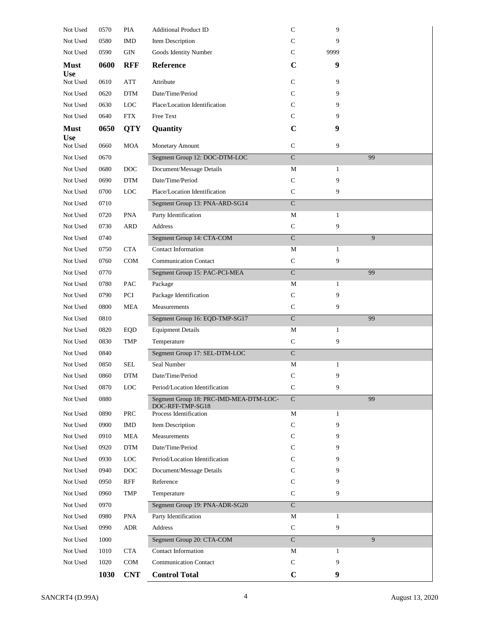| Not Used                  | 0570 | PIA               | <b>Additional Product ID</b>               | $\mathsf{C}$            | 9            |    |
|---------------------------|------|-------------------|--------------------------------------------|-------------------------|--------------|----|
| Not Used                  | 0580 | <b>IMD</b>        | Item Description                           | C                       | 9            |    |
| Not Used                  | 0590 | GIN               | Goods Identity Number                      | C                       | 9999         |    |
| <b>Must</b>               | 0600 | <b>RFF</b>        | <b>Reference</b>                           | $\mathbf C$             | 9            |    |
| <b>Use</b>                |      |                   |                                            |                         |              |    |
| Not Used                  | 0610 | ATT               | Attribute                                  | $\mathbf C$             | 9            |    |
| Not Used                  | 0620 | <b>DTM</b>        | Date/Time/Period                           | C                       | 9            |    |
| Not Used                  | 0630 | <b>LOC</b>        | Place/Location Identification              | C                       | 9            |    |
| Not Used                  | 0640 | <b>FTX</b>        | Free Text                                  | C                       | 9            |    |
| <b>Must</b><br><b>Use</b> | 0650 | <b>QTY</b>        | Quantity                                   | $\mathbf C$             | 9            |    |
| Not Used                  | 0660 | <b>MOA</b>        | Monetary Amount                            | $\mathbf C$             | 9            |    |
| Not Used                  | 0670 |                   | Segment Group 12: DOC-DTM-LOC              | $\overline{\mathbf{C}}$ |              | 99 |
| Not Used                  | 0680 | DOC               | Document/Message Details                   | M                       | $\mathbf{1}$ |    |
| Not Used                  | 0690 | <b>DTM</b>        | Date/Time/Period                           | $\mathbf C$             | 9            |    |
| Not Used                  | 0700 | $_{\mathrm{LOC}}$ | Place/Location Identification              | $\mathsf{C}$            | 9            |    |
| Not Used                  | 0710 |                   | Segment Group 13: PNA-ARD-SG14             | $\mathbf C$             |              |    |
| Not Used                  | 0720 | <b>PNA</b>        | Party Identification                       | М                       | $\mathbf{1}$ |    |
| Not Used                  | 0730 | <b>ARD</b>        | Address                                    | $\mathbf C$             | 9            |    |
| Not Used                  | 0740 |                   | Segment Group 14: CTA-COM                  | $\mathbf C$             |              | 9  |
| Not Used                  | 0750 | <b>CTA</b>        | <b>Contact Information</b>                 | M                       | 1            |    |
| Not Used                  | 0760 | COM               | <b>Communication Contact</b>               | $\mathbf C$             | 9            |    |
| Not Used                  | 0770 |                   | Segment Group 15: PAC-PCI-MEA              | $\overline{C}$          |              | 99 |
| Not Used                  | 0780 | <b>PAC</b>        | Package                                    | M                       | $\mathbf{1}$ |    |
| Not Used                  | 0790 | PCI               | Package Identification                     | $\mathbf C$             | 9            |    |
| Not Used                  | 0800 | <b>MEA</b>        | Measurements                               | $\mathbf C$             | 9            |    |
| Not Used                  | 0810 |                   | Segment Group 16: EQD-TMP-SG17             | $\overline{\rm C}$      |              | 99 |
| Not Used                  | 0820 | EQD               | <b>Equipment Details</b>                   | $\mathbf M$             | $\mathbf{1}$ |    |
| Not Used                  | 0830 | <b>TMP</b>        | Temperature                                | $\mathbf C$             | 9            |    |
| Not Used                  | 0840 |                   | Segment Group 17: SEL-DTM-LOC              | $\mathbf C$             |              |    |
| Not Used                  | 0850 | <b>SEL</b>        | Seal Number                                | М                       | $\mathbf{1}$ |    |
| Not Used                  | 0860 | <b>DTM</b>        | Date/Time/Period                           | $\mathsf{C}$            | 9            |    |
| Not Used                  | 0870 | LOC               | Period/Location Identification             | $\mathsf{C}$            | 9            |    |
| Not Used                  | 0880 |                   | Segment Group 18: PRC-IMD-MEA-DTM-LOC-     | $\mathbf C$             |              | 99 |
| Not Used                  | 0890 | PRC               | DOC-RFF-TMP-SG18<br>Process Identification | M                       | $\mathbf{1}$ |    |
| Not Used                  | 0900 | <b>IMD</b>        | Item Description                           | $\mathsf{C}$            | 9            |    |
| Not Used                  | 0910 | <b>MEA</b>        | Measurements                               | C                       | 9            |    |
| Not Used                  | 0920 | <b>DTM</b>        | Date/Time/Period                           | C                       | 9            |    |
| Not Used                  | 0930 | LOC               | Period/Location Identification             | C                       | 9            |    |
| Not Used                  | 0940 | DOC               | Document/Message Details                   | C                       | 9            |    |
| Not Used                  | 0950 | RFF               | Reference                                  | C                       | 9            |    |
| Not Used                  | 0960 | TMP               | Temperature                                | C                       | 9            |    |
| Not Used                  | 0970 |                   | Segment Group 19: PNA-ADR-SG20             | $\overline{C}$          |              |    |
| Not Used                  | 0980 | <b>PNA</b>        | Party Identification                       | M                       | $\mathbf{1}$ |    |
| Not Used                  | 0990 | <b>ADR</b>        | Address                                    | $\mathbf C$             | 9            |    |
| Not Used                  | 1000 |                   | Segment Group 20: CTA-COM                  | $\mathbf C$             |              | 9  |
| Not Used                  | 1010 | <b>CTA</b>        | <b>Contact Information</b>                 | М                       | $\mathbf{1}$ |    |
| Not Used                  | 1020 | <b>COM</b>        | <b>Communication Contact</b>               | C                       | 9            |    |
|                           | 1030 | <b>CNT</b>        | <b>Control Total</b>                       | $\mathbf C$             | 9            |    |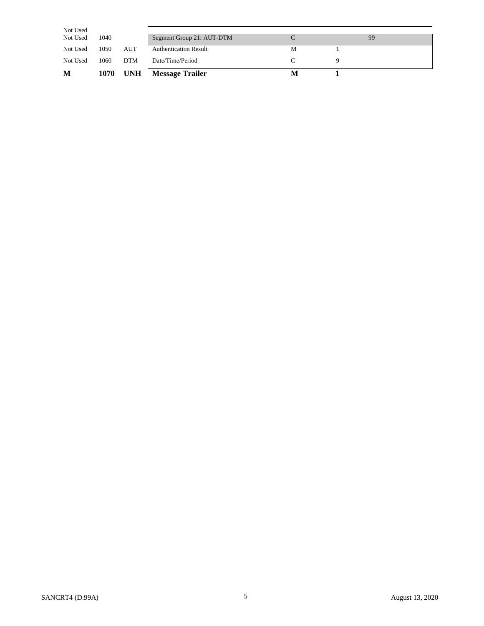| Not Used |      |            |                              |   |    |
|----------|------|------------|------------------------------|---|----|
| Not Used | 1040 |            | Segment Group 21: AUT-DTM    |   | 99 |
| Not Used | 1050 | AUT        | <b>Authentication Result</b> | М |    |
| Not Used | 1060 | <b>DTM</b> | Date/Time/Period             |   |    |
| M        | 1070 | <b>UNH</b> | <b>Message Trailer</b>       |   |    |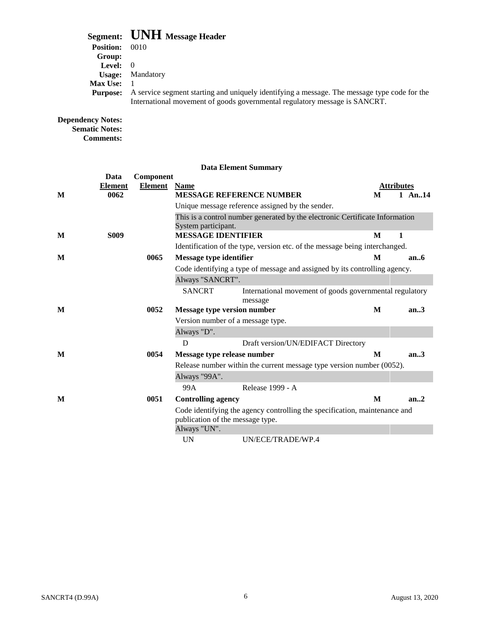### **Segment: UNH Message Header**

|                   | $\mathcal{L}$ and $\mathcal{L}$ and $\mathcal{L}$ intersted in and $\mathcal{L}$             |
|-------------------|----------------------------------------------------------------------------------------------|
| <b>Position:</b>  | 0010                                                                                         |
| Group:            |                                                                                              |
| <b>Level:</b> $0$ |                                                                                              |
| <b>Usage:</b>     | Mandatory                                                                                    |
| <b>Max Use:</b>   |                                                                                              |
| <b>Purpose:</b>   | A service segment starting and uniquely identifying a message. The message type code for the |
|                   | International movement of goods governmental regulatory message is SANCRT.                   |
|                   |                                                                                              |

#### **Dependency Notes: Sematic Notes: Comments:**

|   | Data           | Component      |                                  |                                                                              |   |                   |
|---|----------------|----------------|----------------------------------|------------------------------------------------------------------------------|---|-------------------|
|   | <b>Element</b> | <b>Element</b> | <b>Name</b>                      |                                                                              |   | <b>Attributes</b> |
| M | 0062           |                |                                  | <b>MESSAGE REFERENCE NUMBER</b>                                              | M | 1 An., $14$       |
|   |                |                |                                  | Unique message reference assigned by the sender.                             |   |                   |
|   |                |                | System participant.              | This is a control number generated by the electronic Certificate Information |   |                   |
| M | <b>S009</b>    |                | <b>MESSAGE IDENTIFIER</b>        |                                                                              | M | 1                 |
|   |                |                |                                  | Identification of the type, version etc. of the message being interchanged.  |   |                   |
| M |                | 0065           | <b>Message type identifier</b>   |                                                                              | M | an.6              |
|   |                |                |                                  | Code identifying a type of message and assigned by its controlling agency.   |   |                   |
|   |                |                | Always "SANCRT".                 |                                                                              |   |                   |
|   |                |                | <b>SANCRT</b>                    | International movement of goods governmental regulatory<br>message           |   |                   |
| M |                | 0052           |                                  | <b>Message type version number</b>                                           |   | an.3              |
|   |                |                |                                  | Version number of a message type.                                            |   |                   |
|   |                |                | Always "D".                      |                                                                              |   |                   |
|   |                |                | D                                | Draft version/UN/EDIFACT Directory                                           |   |                   |
| M |                | 0054           | Message type release number      |                                                                              | M | an.3              |
|   |                |                |                                  | Release number within the current message type version number (0052).        |   |                   |
|   |                |                | Always "99A".                    |                                                                              |   |                   |
|   |                |                | 99A                              | Release 1999 - A                                                             |   |                   |
| M |                | 0051           | <b>Controlling agency</b>        |                                                                              | M | an.2              |
|   |                |                | publication of the message type. | Code identifying the agency controlling the specification, maintenance and   |   |                   |
|   |                |                | Always "UN".                     |                                                                              |   |                   |
|   |                |                | <b>UN</b>                        | UN/ECE/TRADE/WP.4                                                            |   |                   |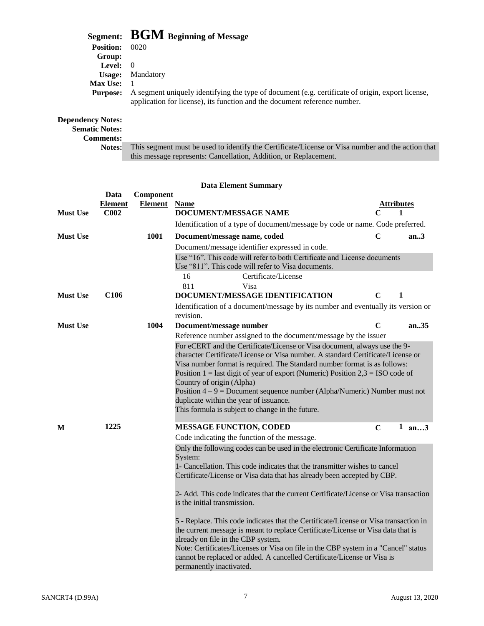|                   | Segment: BGM Beginning of Message                                                                                                                                             |
|-------------------|-------------------------------------------------------------------------------------------------------------------------------------------------------------------------------|
| <b>Position:</b>  | 0020                                                                                                                                                                          |
| Group:            |                                                                                                                                                                               |
| <b>Level:</b> $0$ |                                                                                                                                                                               |
| Usage:            | Mandatory                                                                                                                                                                     |
| <b>Max Use:</b>   |                                                                                                                                                                               |
| <b>Purpose:</b>   | A segment uniquely identifying the type of document (e.g. certificate of origin, export license,<br>application for license), its function and the document reference number. |
| sandancy Notae:   |                                                                                                                                                                               |

#### **Dependency Notes:**

#### **Sematic Notes:**

**Comments:**

This segment must be used to identify the Certificate/License or Visa number and the action that this message represents: Cancellation, Addition, or Replacement.

|                 | Data             | Component           |                                                                                      |             |       |
|-----------------|------------------|---------------------|--------------------------------------------------------------------------------------|-------------|-------|
|                 | <b>Element</b>   | <b>Element</b> Name |                                                                                      | Attributes  |       |
| <b>Must Use</b> | C <sub>002</sub> |                     | DOCUMENT/MESSAGE NAME                                                                |             | 1     |
|                 |                  |                     | Identification of a type of document/message by code or name. Code preferred.        |             |       |
| <b>Must Use</b> |                  | 1001                | Document/message name, coded                                                         | $\mathbf C$ | an.3  |
|                 |                  |                     | Document/message identifier expressed in code.                                       |             |       |
|                 |                  |                     | Use "16". This code will refer to both Certificate and License documents             |             |       |
|                 |                  |                     | Use "811". This code will refer to Visa documents.                                   |             |       |
|                 |                  |                     | Certificate/License<br>16                                                            |             |       |
|                 |                  |                     | 811<br>Visa                                                                          |             |       |
| <b>Must Use</b> | C <sub>106</sub> |                     | DOCUMENT/MESSAGE IDENTIFICATION                                                      | C           | 1     |
|                 |                  |                     | Identification of a document/message by its number and eventually its version or     |             |       |
|                 |                  |                     | revision.                                                                            |             |       |
| <b>Must Use</b> |                  | 1004                | Document/message number                                                              | $\mathbf C$ | an.35 |
|                 |                  |                     | Reference number assigned to the document/message by the issuer                      |             |       |
|                 |                  |                     | For eCERT and the Certificate/License or Visa document, always use the 9-            |             |       |
|                 |                  |                     | character Certificate/License or Visa number. A standard Certificate/License or      |             |       |
|                 |                  |                     | Visa number format is required. The Standard number format is as follows:            |             |       |
|                 |                  |                     | Position $1 =$ last digit of year of export (Numeric) Position $2,3 =$ ISO code of   |             |       |
|                 |                  |                     | Country of origin (Alpha)                                                            |             |       |
|                 |                  |                     | Position $4 - 9 =$ Document sequence number (Alpha/Numeric) Number must not          |             |       |
|                 |                  |                     | duplicate within the year of issuance.                                               |             |       |
|                 |                  |                     | This formula is subject to change in the future.                                     |             |       |
| M               | 1225             |                     | <b>MESSAGE FUNCTION, CODED</b>                                                       | $\mathbf C$ | 1 an3 |
|                 |                  |                     | Code indicating the function of the message.                                         |             |       |
|                 |                  |                     | Only the following codes can be used in the electronic Certificate Information       |             |       |
|                 |                  |                     | System:                                                                              |             |       |
|                 |                  |                     | 1- Cancellation. This code indicates that the transmitter wishes to cancel           |             |       |
|                 |                  |                     | Certificate/License or Visa data that has already been accepted by CBP.              |             |       |
|                 |                  |                     | 2- Add. This code indicates that the current Certificate/License or Visa transaction |             |       |
|                 |                  |                     | is the initial transmission.                                                         |             |       |
|                 |                  |                     |                                                                                      |             |       |
|                 |                  |                     | 5 - Replace. This code indicates that the Certificate/License or Visa transaction in |             |       |
|                 |                  |                     | the current message is meant to replace Certificate/License or Visa data that is     |             |       |
|                 |                  |                     | already on file in the CBP system.                                                   |             |       |
|                 |                  |                     | Note: Certificates/Licenses or Visa on file in the CBP system in a "Cancel" status   |             |       |
|                 |                  |                     | cannot be replaced or added. A cancelled Certificate/License or Visa is              |             |       |
|                 |                  |                     | permanently inactivated.                                                             |             |       |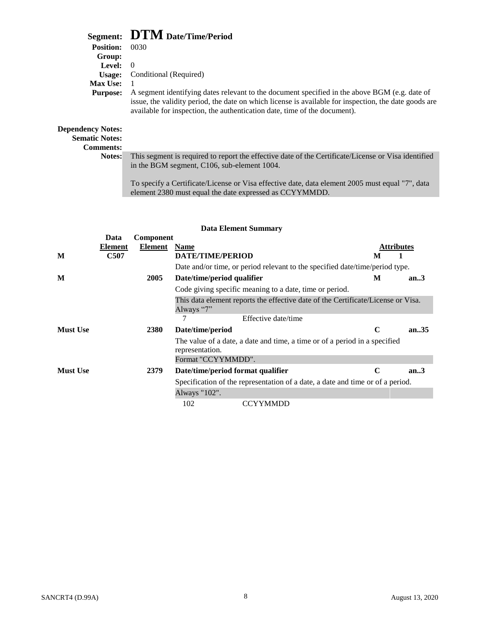## **Segment: DTM Date/Time/Period**

| <b>Position:</b>                                                      | 0030                                                                                                                                                                                                                                                                                |
|-----------------------------------------------------------------------|-------------------------------------------------------------------------------------------------------------------------------------------------------------------------------------------------------------------------------------------------------------------------------------|
| Group:                                                                |                                                                                                                                                                                                                                                                                     |
| Level:                                                                | $\left( \right)$                                                                                                                                                                                                                                                                    |
| Usage:                                                                | Conditional (Required)                                                                                                                                                                                                                                                              |
| <b>Max Use:</b>                                                       |                                                                                                                                                                                                                                                                                     |
| <b>Purpose:</b>                                                       | A segment identifying dates relevant to the document specified in the above BGM (e.g. date of<br>issue, the validity period, the date on which license is available for inspection, the date goods are<br>available for inspection, the authentication date, time of the document). |
| <b>Dependency Notes:</b><br><b>Sematic Notes:</b><br><b>Comments:</b> |                                                                                                                                                                                                                                                                                     |
| Notes:                                                                | This segment is required to report the effective date of the Certificate/License or Visa identified<br>in the BGM segment, C106, sub-element 1004.                                                                                                                                  |
|                                                                       | To specify a Certificate/License or Visa effective date, data element 2005 must equal "7", data                                                                                                                                                                                     |

To specify a Certificate/License or Visa effective date, data element 2005 must equal "7", data element 2380 must equal the date expressed as CCYYMMDD.

|                 | <b>Data Element Summary</b> |             |                                                                                                |                   |       |  |
|-----------------|-----------------------------|-------------|------------------------------------------------------------------------------------------------|-------------------|-------|--|
|                 | Data                        | Component   |                                                                                                |                   |       |  |
|                 | Element                     | Element     | <b>Name</b>                                                                                    | <b>Attributes</b> |       |  |
| M               | <b>C507</b>                 |             | <b>DATE/TIME/PERIOD</b>                                                                        | M                 |       |  |
|                 |                             |             | Date and/or time, or period relevant to the specified date/time/period type.                   |                   |       |  |
| M               |                             | 2005        | Date/time/period qualifier                                                                     | М                 | an.3  |  |
|                 |                             |             | Code giving specific meaning to a date, time or period.                                        |                   |       |  |
|                 |                             |             | This data element reports the effective date of the Certificate/License or Visa.<br>Always "7" |                   |       |  |
|                 |                             |             | 7<br>Effective date/time                                                                       |                   |       |  |
| <b>Must Use</b> |                             | <b>2380</b> | Date/time/period                                                                               | $\mathbf C$       | an.35 |  |
|                 |                             |             | The value of a date, a date and time, a time or of a period in a specified<br>representation.  |                   |       |  |
|                 |                             |             | Format "CCYYMMDD".                                                                             |                   |       |  |
| <b>Must Use</b> |                             | 2379        | Date/time/period format qualifier                                                              | C                 | an.3  |  |
|                 |                             |             | Specification of the representation of a date, a date and time or of a period.                 |                   |       |  |
|                 |                             |             | Always "102".                                                                                  |                   |       |  |
|                 |                             |             | 102<br><b>CCYYMMDD</b>                                                                         |                   |       |  |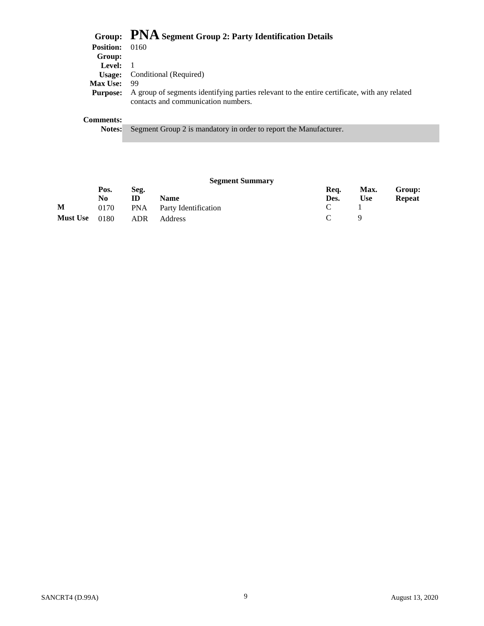|                  | Group: PNA Segment Group 2: Party Identification Details                                                                            |
|------------------|-------------------------------------------------------------------------------------------------------------------------------------|
| <b>Position:</b> | 0160                                                                                                                                |
| Group:           |                                                                                                                                     |
| Level: $1$       |                                                                                                                                     |
| Usage:           | Conditional (Required)                                                                                                              |
| <b>Max Use:</b>  | 99                                                                                                                                  |
| <b>Purpose:</b>  | A group of segments identifying parties relevant to the entire certificate, with any related<br>contacts and communication numbers. |
| <b>Comments:</b> |                                                                                                                                     |
| <b>Notes:</b>    | Segment Group 2 is mandatory in order to report the Manufacturer.                                                                   |

#### **Segment Summary**

|   | Pos. | Seg. |                                  | Rea.                        |            | Max. Group: |
|---|------|------|----------------------------------|-----------------------------|------------|-------------|
|   | No   | ID   | <b>Name</b>                      | Des.                        | <b>Use</b> | Repeat      |
| M | 0170 |      | <b>PNA</b> Party Identification  | $\mathcal{C}$               |            |             |
|   |      |      | <b>Must Use</b> 0180 ADR Address | $\mathcal{C}$ $\mathcal{Q}$ |            |             |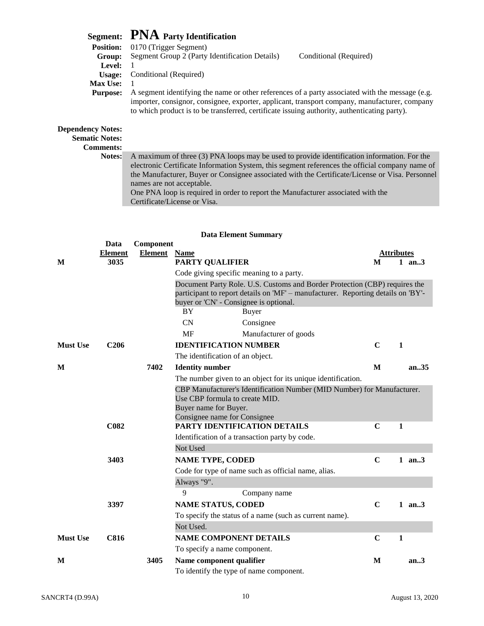## **Segment: PNA Party Identification**

| <b>Position:</b> | 0170 (Trigger Segment)                                                                                                                                                                                                                                                                           |                        |
|------------------|--------------------------------------------------------------------------------------------------------------------------------------------------------------------------------------------------------------------------------------------------------------------------------------------------|------------------------|
| Group:           | Segment Group 2 (Party Identification Details)                                                                                                                                                                                                                                                   | Conditional (Required) |
| Level:           |                                                                                                                                                                                                                                                                                                  |                        |
| <b>Usage:</b>    | Conditional (Required)                                                                                                                                                                                                                                                                           |                        |
| <b>Max Use:</b>  |                                                                                                                                                                                                                                                                                                  |                        |
| <b>Purpose:</b>  | A segment identifying the name or other references of a party associated with the message (e.g.<br>importer, consignor, consignee, exporter, applicant, transport company, manufacturer, company<br>to which product is to be transferred, certificate issuing authority, authenticating party). |                        |
| ency Notes:      |                                                                                                                                                                                                                                                                                                  |                        |

#### Depende **Sematic Notes:**

**Comments:**

**Notes:** A maximum of three (3) PNA loops may be used to provide identification information. For the electronic Certificate Information System, this segment references the official company name of the Manufacturer, Buyer or Consignee associated with the Certificate/License or Visa. Personnel names are not acceptable. One PNA loop is required in order to report the Manufacturer associated with the

Certificate/License or Visa.

| <b>Data Element Summary</b> |                  |                     |                                                                                                                            |             |                   |
|-----------------------------|------------------|---------------------|----------------------------------------------------------------------------------------------------------------------------|-------------|-------------------|
|                             | Data             | Component           |                                                                                                                            |             |                   |
|                             | <b>Element</b>   | <b>Element</b> Name |                                                                                                                            |             | <b>Attributes</b> |
| M                           | 3035             |                     | <b>PARTY QUALIFIER</b>                                                                                                     | M           | 1 an $3$          |
|                             |                  |                     | Code giving specific meaning to a party.                                                                                   |             |                   |
|                             |                  |                     | Document Party Role. U.S. Customs and Border Protection (CBP) requires the                                                 |             |                   |
|                             |                  |                     | participant to report details on 'MF' – manufacturer. Reporting details on 'BY'-<br>buyer or 'CN' - Consignee is optional. |             |                   |
|                             |                  |                     | <b>BY</b><br>Buyer                                                                                                         |             |                   |
|                             |                  |                     | CN<br>Consignee                                                                                                            |             |                   |
|                             |                  |                     | MF<br>Manufacturer of goods                                                                                                |             |                   |
| <b>Must Use</b>             | C <sub>206</sub> |                     | <b>IDENTIFICATION NUMBER</b>                                                                                               | $\mathbf C$ | $\mathbf{1}$      |
|                             |                  |                     | The identification of an object.                                                                                           |             |                   |
| M                           |                  | 7402                | <b>Identity</b> number                                                                                                     | M           | an.35             |
|                             |                  |                     | The number given to an object for its unique identification.                                                               |             |                   |
|                             |                  |                     | CBP Manufacturer's Identification Number (MID Number) for Manufacturer.                                                    |             |                   |
|                             |                  |                     | Use CBP formula to create MID.                                                                                             |             |                   |
|                             |                  |                     | Buyer name for Buyer.<br>Consignee name for Consignee                                                                      |             |                   |
|                             | <b>C082</b>      |                     | PARTY IDENTIFICATION DETAILS                                                                                               | $\mathbf C$ | 1                 |
|                             |                  |                     | Identification of a transaction party by code.                                                                             |             |                   |
|                             |                  |                     | Not Used                                                                                                                   |             |                   |
|                             | 3403             |                     | <b>NAME TYPE, CODED</b>                                                                                                    | $\mathbf C$ | 1 an $3$          |
|                             |                  |                     | Code for type of name such as official name, alias.                                                                        |             |                   |
|                             |                  |                     | Always "9".                                                                                                                |             |                   |
|                             |                  |                     | 9<br>Company name                                                                                                          |             |                   |
|                             | 3397             |                     | <b>NAME STATUS, CODED</b>                                                                                                  | $\mathbf C$ | 1 an3             |
|                             |                  |                     | To specify the status of a name (such as current name).                                                                    |             |                   |
|                             |                  |                     | Not Used.                                                                                                                  |             |                   |
| <b>Must Use</b>             | <b>C816</b>      |                     | <b>NAME COMPONENT DETAILS</b>                                                                                              | $\mathbf C$ | $\mathbf{1}$      |
|                             |                  |                     | To specify a name component.                                                                                               |             |                   |
| M                           |                  | 3405                | Name component qualifier                                                                                                   | M           | an.3              |
|                             |                  |                     | To identify the type of name component.                                                                                    |             |                   |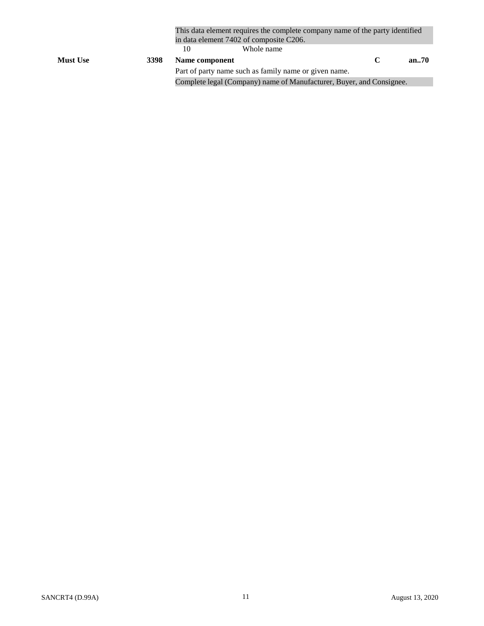|                 |      | This data element requires the complete company name of the party identified<br>in data element 7402 of composite C206. |                                                                      |               |       |
|-----------------|------|-------------------------------------------------------------------------------------------------------------------------|----------------------------------------------------------------------|---------------|-------|
|                 |      |                                                                                                                         | Whole name                                                           |               |       |
| <b>Must Use</b> | 3398 | Name component                                                                                                          |                                                                      | $\mathcal{C}$ | an.70 |
|                 |      |                                                                                                                         | Part of party name such as family name or given name.                |               |       |
|                 |      |                                                                                                                         | Complete legal (Company) name of Manufacturer, Buyer, and Consignee. |               |       |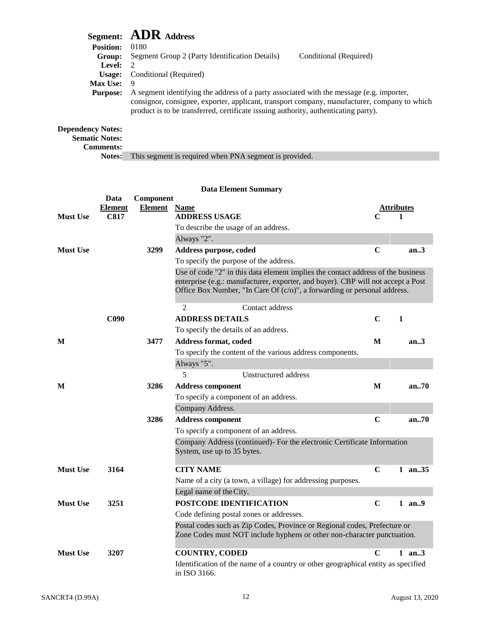|                          | Segment: ADR Address                                                                                                                                                                                                                                                            |
|--------------------------|---------------------------------------------------------------------------------------------------------------------------------------------------------------------------------------------------------------------------------------------------------------------------------|
| <b>Position:</b>         | 0180                                                                                                                                                                                                                                                                            |
| Group:                   | Segment Group 2 (Party Identification Details)<br>Conditional (Required)                                                                                                                                                                                                        |
| Level:                   | $\overline{2}$                                                                                                                                                                                                                                                                  |
| Usage:                   | Conditional (Required)                                                                                                                                                                                                                                                          |
| <b>Max Use:</b>          | -9                                                                                                                                                                                                                                                                              |
| <b>Purpose:</b>          | A segment identifying the address of a party associated with the message (e.g. importer,<br>consignor, consignee, exporter, applicant, transport company, manufacturer, company to which<br>product is to be transferred, certificate issuing authority, authenticating party). |
| <b>Dependency Notes:</b> |                                                                                                                                                                                                                                                                                 |

**Sematic Notes: Comments:**

**Notes:** This segment is required when PNA segment is provided.

#### **Data Element Summary Data Component Element Element Name Attributes Must Use C817 ADDRESS USAGE C 1** To describe the usage of an address. Always "2". **Must Use 3299 Address purpose, coded C an..3** To specify the purpose of the address. Use of code "2" in this data element implies the contact address of the business enterprise (e.g.: manufacturer, exporter, and buyer). CBP will not accept a Post Office Box Number, "In Care Of (c/o)", a forwarding or personal address. 2 Contact address **C090 ADDRESS DETAILS C 1** To specify the details of an address. **M 3477 Address format, coded M an..3** To specify the content of the various address components. Always "5". 5 Unstructured address **M 3286 Address component M an..70** To specify a component of an address. Company Address. **3286 Address component C an..70** To specify a component of an address. Company Address (continued)- For the electronic Certificate Information System, use up to 35 bytes. **Must Use 3164 CITY NAME C 1 an..35** Name of a city (a town, a village) for addressing purposes. Legal name of theCity. **Must Use 3251 POSTCODE IDENTIFICATION C 1 an..9** Code defining postal zones or addresses. Postal codes such as Zip Codes, Province or Regional codes, Prefecture or Zone Codes must NOT include hyphens or other non-character punctuation. **Must Use 3207 COUNTRY, CODED C 1 an..3** Identification of the name of a country or other geographical entity as specified in ISO 3166.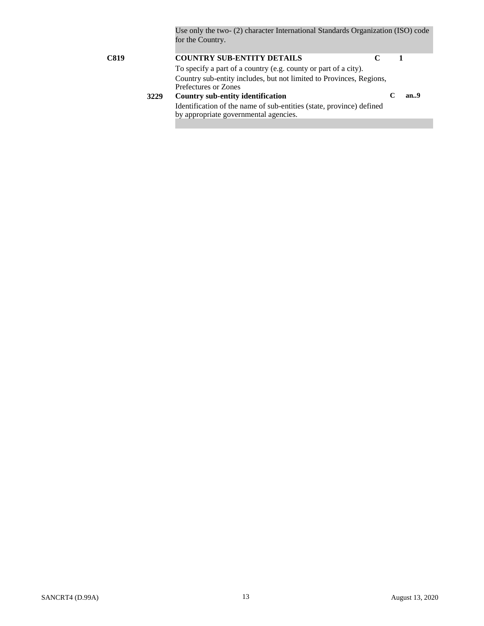Use only the two- (2) character International Standards Organization (ISO) code for the Country.

| C819 |      | <b>COUNTRY SUB-ENTITY DETAILS</b>                                                                             |     |
|------|------|---------------------------------------------------------------------------------------------------------------|-----|
|      |      | To specify a part of a country (e.g. county or part of a city).                                               |     |
|      |      | Country sub-entity includes, but not limited to Provinces, Regions,<br>Prefectures or Zones                   |     |
|      | 3229 | Country sub-entity identification                                                                             | an9 |
|      |      | Identification of the name of sub-entities (state, province) defined<br>by appropriate governmental agencies. |     |
|      |      |                                                                                                               |     |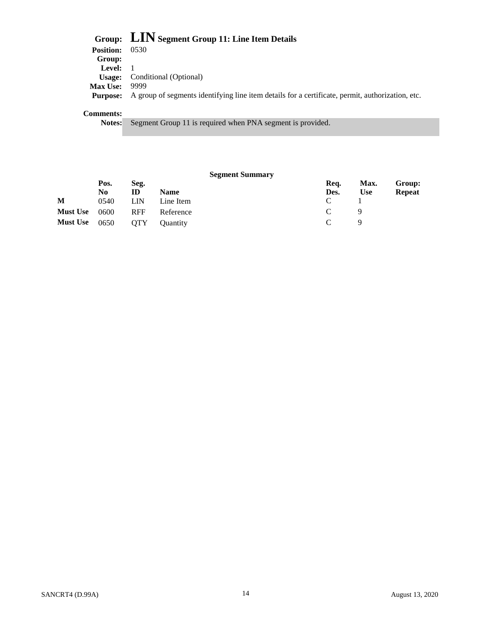|                   | Group: LIN Segment Group 11: Line Item Details                                                   |
|-------------------|--------------------------------------------------------------------------------------------------|
| <b>Position:</b>  | 0530                                                                                             |
| Group:            |                                                                                                  |
| <b>Level:</b> $1$ |                                                                                                  |
|                   | <b>Usage:</b> Conditional (Optional)                                                             |
| <b>Max Use:</b>   | 9999                                                                                             |
| <b>Purpose:</b>   | A group of segments identifying line item details for a certificate, permit, authorization, etc. |
|                   |                                                                                                  |

#### **Comments:**

**Notes:** Segment Group 11 is required when PNA segment is provided.

|                 |      |            | <b>Segment Summary</b> |               |            |               |
|-----------------|------|------------|------------------------|---------------|------------|---------------|
|                 | Pos. | Seg.       |                        | Req.          | Max.       | Group:        |
|                 | No.  | ID         | <b>Name</b>            | Des.          | <b>Use</b> | <b>Repeat</b> |
| M               | 0540 | LIN        | Line Item              | C             |            |               |
| <b>Must Use</b> | 0600 | <b>RFF</b> | Reference              | $\mathcal{C}$ |            |               |
| <b>Must Use</b> | 0650 | <b>OTY</b> | <b>Ouantity</b>        | $\mathcal{C}$ |            |               |
|                 |      |            |                        |               |            |               |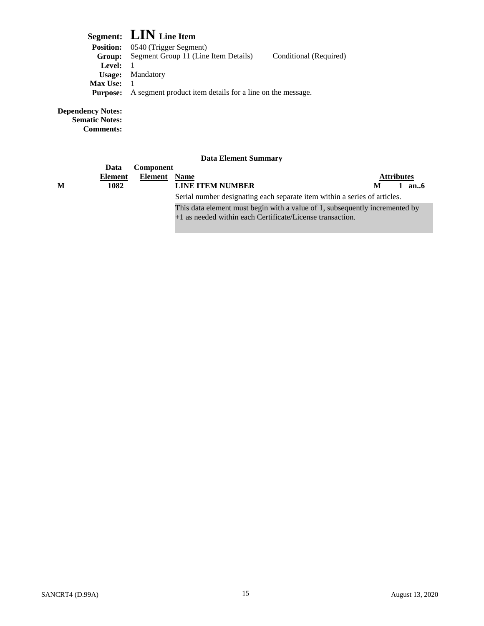## **Segment: LIN Line Item**

| <b>Position:</b> | 0540 (Trigger Segment)                                    |                        |
|------------------|-----------------------------------------------------------|------------------------|
| Group:           | Segment Group 11 (Line Item Details)                      | Conditional (Required) |
| <b>Level:</b>    |                                                           |                        |
|                  | <b>Usage:</b> Mandatory                                   |                        |
| <b>Max Use:</b>  |                                                           |                        |
| <b>Purpose:</b>  | A segment product item details for a line on the message. |                        |
|                  |                                                           |                        |
|                  |                                                           |                        |

**Dependency Notes:**

**Sematic Notes: Comments:**

|   | Data           | <b>Component</b>    |                                                                                                                                          |                   |      |
|---|----------------|---------------------|------------------------------------------------------------------------------------------------------------------------------------------|-------------------|------|
|   | <b>Element</b> | <b>Element</b> Name |                                                                                                                                          | <b>Attributes</b> |      |
| M | 1082           |                     | <b>LINE ITEM NUMBER</b>                                                                                                                  | М                 | an.6 |
|   |                |                     | Serial number designating each separate item within a series of articles.                                                                |                   |      |
|   |                |                     | This data element must begin with a value of 1, subsequently incremented by<br>+1 as needed within each Certificate/License transaction. |                   |      |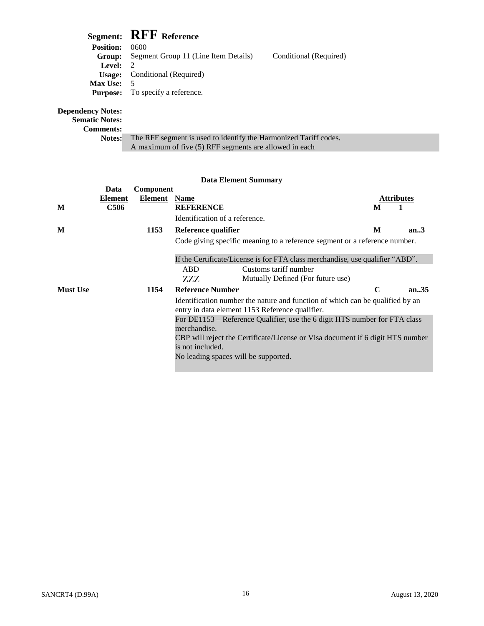## **Segment: RFF Reference**

| <b>Position:</b> | 0600                                    |                        |  |
|------------------|-----------------------------------------|------------------------|--|
| Group:           | Segment Group 11 (Line Item Details)    | Conditional (Required) |  |
| Level:           |                                         |                        |  |
| Usage:           | Conditional (Required)                  |                        |  |
| <b>Max Use:</b>  | 5                                       |                        |  |
|                  | <b>Purpose:</b> To specify a reference. |                        |  |
|                  |                                         |                        |  |
| icy Notes:       |                                         |                        |  |

**Dependency Sematic Notes:**

**Comments:**

| ucuts. |                                                                  |
|--------|------------------------------------------------------------------|
| Notes: | The RFF segment is used to identify the Harmonized Tariff codes. |
|        | A maximum of five (5) RFF segments are allowed in each           |

#### **Data Element Summary Data Component Element Element Name Attributes M C506 REFERENCE M 1** Identification of a reference. **M 1153 Reference qualifier M an..3** Code giving specific meaning to a reference segment or a reference number. If the Certificate/License is for FTA class merchandise, use qualifier "ABD". ABD ZZZ Customs tariff number Mutually Defined (For future use) **Must Use 1154 Reference Number C an..35** Identification number the nature and function of which can be qualified by an entry in data element 1153 Reference qualifier. For DE1153 – Reference Qualifier, use the 6 digit HTS number for FTA class merchandise. CBP will reject the Certificate/License or Visa document if 6 digit HTS number is not included. No leading spaces will be supported.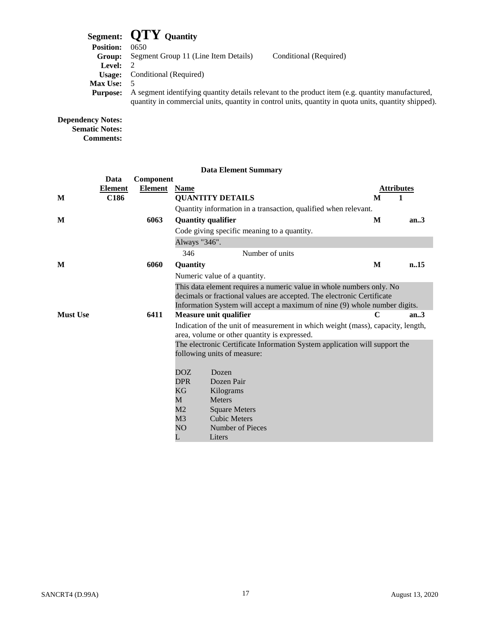## **Segment: QTY Quantity**

|                  | $\sigma$ $\mathbf{C}$ $\mathbf{C}$ $\mathbf{C}$ $\mathbf{C}$ $\mathbf{C}$ $\mathbf{C}$ $\mathbf{C}$ $\mathbf{C}$ $\mathbf{C}$ $\mathbf{C}$ $\mathbf{C}$ $\mathbf{C}$ $\mathbf{C}$ $\mathbf{C}$ $\mathbf{C}$ $\mathbf{C}$ $\mathbf{C}$ $\mathbf{C}$ $\mathbf{C}$ $\mathbf{C}$ $\mathbf{C}$ $\mathbf{C}$ $\mathbf{C}$ $\mathbf{C}$ |
|------------------|----------------------------------------------------------------------------------------------------------------------------------------------------------------------------------------------------------------------------------------------------------------------------------------------------------------------------------|
| <b>Position:</b> | 0650                                                                                                                                                                                                                                                                                                                             |
| Group:           | Segment Group 11 (Line Item Details)<br>Conditional (Required)                                                                                                                                                                                                                                                                   |
| <b>Level:</b>    |                                                                                                                                                                                                                                                                                                                                  |
| Usage:           | Conditional (Required)                                                                                                                                                                                                                                                                                                           |
| <b>Max Use:</b>  |                                                                                                                                                                                                                                                                                                                                  |
| <b>Purpose:</b>  | A segment identifying quantity details relevant to the product item (e.g. quantity manufactured,                                                                                                                                                                                                                                 |
|                  | quantity in commercial units, quantity in control units, quantity in quota units, quantity shipped).                                                                                                                                                                                                                             |
|                  |                                                                                                                                                                                                                                                                                                                                  |

#### **Dependency Notes: Sematic Notes: Comments:**

|                 | Data             | Component      |                           |                                                                                                                                                |                   |      |
|-----------------|------------------|----------------|---------------------------|------------------------------------------------------------------------------------------------------------------------------------------------|-------------------|------|
|                 | <b>Element</b>   | <b>Element</b> | <b>Name</b>               |                                                                                                                                                | <b>Attributes</b> |      |
| M               | C <sub>186</sub> |                |                           | <b>QUANTITY DETAILS</b>                                                                                                                        | M                 | 1    |
|                 |                  |                |                           | Quantity information in a transaction, qualified when relevant.                                                                                |                   |      |
| M               |                  | 6063           | <b>Quantity qualifier</b> |                                                                                                                                                | M                 | an.3 |
|                 |                  |                |                           | Code giving specific meaning to a quantity.                                                                                                    |                   |      |
|                 |                  |                | Always "346".             |                                                                                                                                                |                   |      |
|                 |                  |                | 346                       | Number of units                                                                                                                                |                   |      |
| M               |                  | 6060           | Quantity                  |                                                                                                                                                | M                 | n.15 |
|                 |                  |                |                           | Numeric value of a quantity.                                                                                                                   |                   |      |
|                 |                  |                |                           | This data element requires a numeric value in whole numbers only. No<br>decimals or fractional values are accepted. The electronic Certificate |                   |      |
|                 |                  |                |                           | Information System will accept a maximum of nine (9) whole number digits.                                                                      |                   |      |
| <b>Must Use</b> |                  | 6411           |                           | Measure unit qualifier                                                                                                                         | C                 | an.3 |
|                 |                  |                |                           | Indication of the unit of measurement in which weight (mass), capacity, length,<br>area, volume or other quantity is expressed.                |                   |      |
|                 |                  |                |                           | The electronic Certificate Information System application will support the                                                                     |                   |      |
|                 |                  |                |                           | following units of measure:                                                                                                                    |                   |      |
|                 |                  |                | DOZ.                      | Dozen                                                                                                                                          |                   |      |
|                 |                  |                | <b>DPR</b>                | Dozen Pair                                                                                                                                     |                   |      |
|                 |                  |                | KG                        | Kilograms                                                                                                                                      |                   |      |
|                 |                  |                | M                         | <b>Meters</b>                                                                                                                                  |                   |      |
|                 |                  |                | M2                        | <b>Square Meters</b>                                                                                                                           |                   |      |
|                 |                  |                | M3                        | <b>Cubic Meters</b>                                                                                                                            |                   |      |
|                 |                  |                | NO                        | Number of Pieces                                                                                                                               |                   |      |
|                 |                  |                | L                         | Liters                                                                                                                                         |                   |      |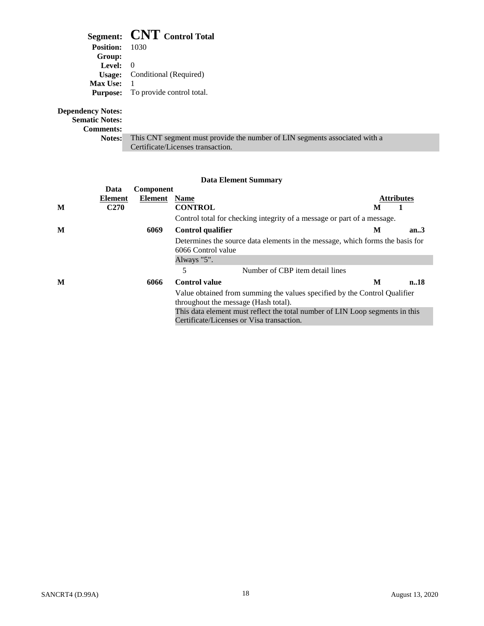|                                                   | Segment: CNT Control Total                |
|---------------------------------------------------|-------------------------------------------|
| <b>Position:</b> 1030                             |                                           |
| Group:                                            |                                           |
| <b>Level:</b> $0$                                 |                                           |
| Usage:                                            | Conditional (Required)                    |
| <b>Max Use:</b> $1$                               |                                           |
|                                                   | <b>Purpose:</b> To provide control total. |
| <b>Dependency Notes:</b><br><b>Sematic Notes:</b> |                                           |

# **Comments:**

| . |                                                                                          |
|---|------------------------------------------------------------------------------------------|
|   | <b>Notes:</b> This CNT segment must provide the number of LIN segments associated with a |
|   | Certificate/Licenses transaction.                                                        |

|   | Data             | Component |                                                                                                                           |   |                   |
|---|------------------|-----------|---------------------------------------------------------------------------------------------------------------------------|---|-------------------|
|   | Element          | Element   | <b>Name</b>                                                                                                               |   | <b>Attributes</b> |
| M | C <sub>270</sub> |           | <b>CONTROL</b>                                                                                                            | M |                   |
|   |                  |           | Control total for checking integrity of a message or part of a message.                                                   |   |                   |
| M |                  | 6069      | Control qualifier                                                                                                         | М | an.3              |
|   |                  |           | Determines the source data elements in the message, which forms the basis for<br>6066 Control value                       |   |                   |
|   |                  |           | Always "5".                                                                                                               |   |                   |
|   |                  |           | 5<br>Number of CBP item detail lines                                                                                      |   |                   |
| M |                  | 6066      | <b>Control</b> value                                                                                                      | M | n.18              |
|   |                  |           | Value obtained from summing the values specified by the Control Qualifier<br>throughout the message (Hash total).         |   |                   |
|   |                  |           | This data element must reflect the total number of LIN Loop segments in this<br>Certificate/Licenses or Visa transaction. |   |                   |